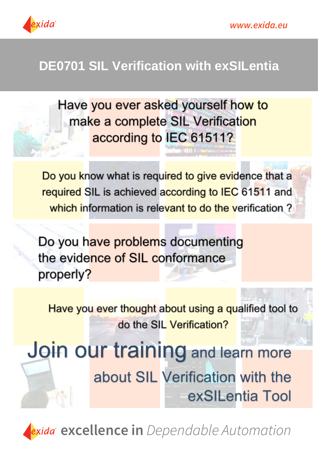



## **DE0701 SIL Verification with exSILentia**

Have you ever asked yourself how to make a complete SIL Verification according to IEC 61511?

Do you know what is required to give evidence that a required SIL is achieved according to IEC 61511 and which information is relevant to do the verification?

Do you have problems documenting the evidence of SIL conformance properly?

Have you ever thought about using a qualified tool to do the SIL Verification?

Join our training and learn more about SIL Verification with the exSILentia Tool

exida<sup>r</sup> excellence in Dependable Automation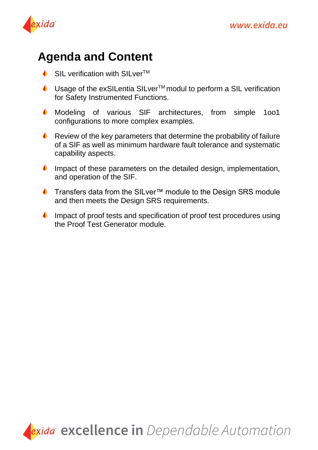



## **Agenda and Content**

- $\bullet$  SIL verification with SILver<sup>TM</sup>
- $\triangle$  Usage of the exSILentia SILver<sup>TM</sup> modul to perform a SIL verification for Safety Instrumented Functions.
- Modeling of various SIF architectures, from simple 1oo1 configurations to more complex examples.
- Review of the key parameters that determine the probability of failure of a SIF as well as minimum hardware fault tolerance and systematic capability aspects.
- Impact of these parameters on the detailed design, implementation, and operation of the SIF.
- Transfers data from the SILver™ module to the Design SRS module and then meets the Design SRS requirements.
- $\bullet$ Impact of proof tests and specification of proof test procedures using the Proof Test Generator module.